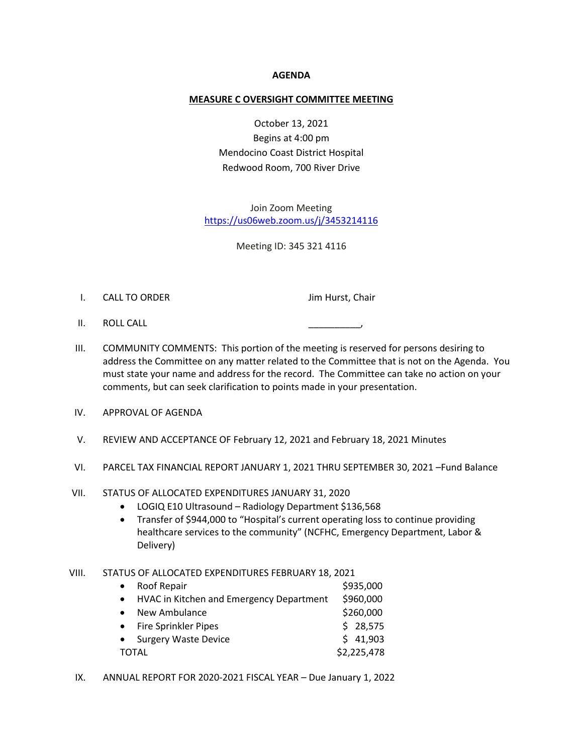### **AGENDA**

#### **MEASURE C OVERSIGHT COMMITTEE MEETING**

October 13, 2021 Begins at 4:00 pm Mendocino Coast District Hospital Redwood Room, 700 River Drive

Join Zoom Meeting <https://us06web.zoom.us/j/3453214116>

Meeting ID: 345 321 4116

I. CALL TO ORDER Jim Hurst, Chair

- II. ROLL CALL
- III. COMMUNITY COMMENTS: This portion of the meeting is reserved for persons desiring to address the Committee on any matter related to the Committee that is not on the Agenda. You must state your name and address for the record. The Committee can take no action on your comments, but can seek clarification to points made in your presentation.
- IV. APPROVAL OF AGENDA
- V. REVIEW AND ACCEPTANCE OF February 12, 2021 and February 18, 2021 Minutes
- VI. PARCEL TAX FINANCIAL REPORT JANUARY 1, 2021 THRU SEPTEMBER 30, 2021 –Fund Balance
- VII. STATUS OF ALLOCATED EXPENDITURES JANUARY 31, 2020
	- LOGIQ E10 Ultrasound Radiology Department \$136,568
	- Transfer of \$944,000 to "Hospital's current operating loss to continue providing healthcare services to the community" (NCFHC, Emergency Department, Labor & Delivery)

#### VIII. STATUS OF ALLOCATED EXPENDITURES FEBRUARY 18, 2021

| $\bullet$    | Roof Repair                                | \$935,000   |
|--------------|--------------------------------------------|-------------|
|              | • HVAC in Kitchen and Emergency Department | \$960,000   |
| $\bullet$    | New Ambulance                              | \$260,000   |
|              | • Fire Sprinkler Pipes                     | \$28,575    |
|              | • Surgery Waste Device                     | \$41,903    |
| <b>TOTAL</b> |                                            | \$2,225,478 |

IX. ANNUAL REPORT FOR 2020-2021 FISCAL YEAR – Due January 1, 2022